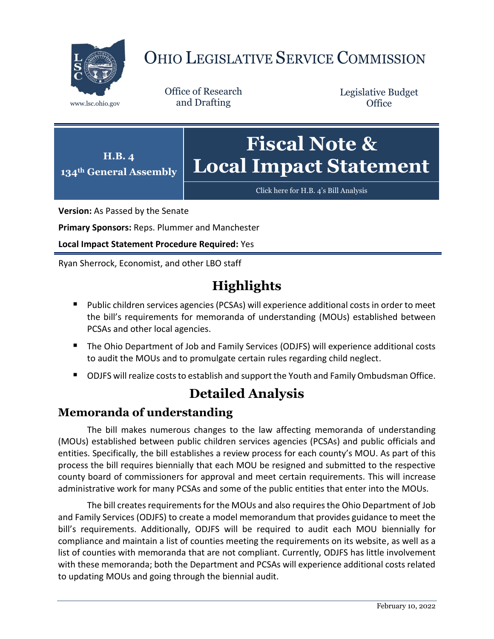

# OHIO LEGISLATIVE SERVICE COMMISSION

Office of Research www.lsc.ohio.gov and Drafting

Legislative Budget **Office** 



[Click here for H.B.](https://www.legislature.ohio.gov/legislation/legislation-documents?id=GA134-HB-4) 4's Bill Analysis

**Version:** As Passed by the Senate

**Primary Sponsors:** Reps. Plummer and Manchester

**Local Impact Statement Procedure Required:** Yes

Ryan Sherrock, Economist, and other LBO staff

## **Highlights**

- Public children services agencies (PCSAs) will experience additional costs in order to meet the bill's requirements for memoranda of understanding (MOUs) established between PCSAs and other local agencies.
- The Ohio Department of Job and Family Services (ODJFS) will experience additional costs to audit the MOUs and to promulgate certain rules regarding child neglect.
- ODJFS will realize costs to establish and support the Youth and Family Ombudsman Office.

### **Detailed Analysis**

#### **Memoranda of understanding**

The bill makes numerous changes to the law affecting memoranda of understanding (MOUs) established between public children services agencies (PCSAs) and public officials and entities. Specifically, the bill establishes a review process for each county's MOU. As part of this process the bill requires biennially that each MOU be resigned and submitted to the respective county board of commissioners for approval and meet certain requirements. This will increase administrative work for many PCSAs and some of the public entities that enter into the MOUs.

The bill creates requirements for the MOUs and also requires the Ohio Department of Job and Family Services (ODJFS) to create a model memorandum that provides guidance to meet the bill's requirements. Additionally, ODJFS will be required to audit each MOU biennially for compliance and maintain a list of counties meeting the requirements on its website, as well as a list of counties with memoranda that are not compliant. Currently, ODJFS has little involvement with these memoranda; both the Department and PCSAs will experience additional costs related to updating MOUs and going through the biennial audit.